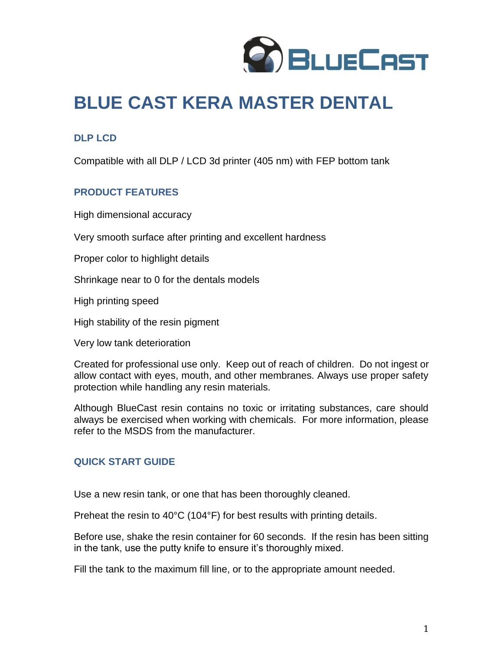

# **BLUE CAST KERA MASTER DENTAL**

## **DLP LCD**

Compatible with all DLP / LCD 3d printer (405 nm) with FEP bottom tank

## **PRODUCT FEATURES**

High dimensional accuracy

Very smooth surface after printing and excellent hardness

Proper color to highlight details

Shrinkage near to 0 for the dentals models

High printing speed

High stability of the resin pigment

Very low tank deterioration

Created for professional use only. Keep out of reach of children. Do not ingest or allow contact with eyes, mouth, and other membranes. Always use proper safety protection while handling any resin materials.

Although BlueCast resin contains no toxic or irritating substances, care should always be exercised when working with chemicals. For more information, please refer to the MSDS from the manufacturer.

## **QUICK START GUIDE**

Use a new resin tank, or one that has been thoroughly cleaned.

Preheat the resin to 40°C (104°F) for best results with printing details.

Before use, shake the resin container for 60 seconds. If the resin has been sitting in the tank, use the putty knife to ensure it's thoroughly mixed.

Fill the tank to the maximum fill line, or to the appropriate amount needed.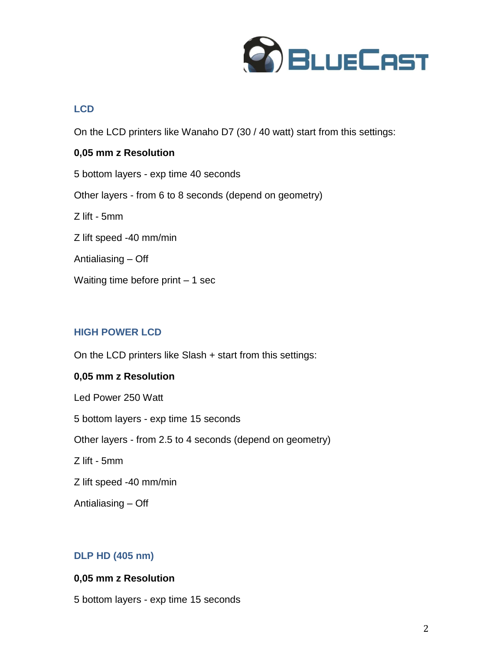

## **LCD**

On the LCD printers like Wanaho D7 (30 / 40 watt) start from this settings:

## **0,05 mm z Resolution**

5 bottom layers - exp time 40 seconds Other layers - from 6 to 8 seconds (depend on geometry) Z lift - 5mm Z lift speed -40 mm/min Antialiasing – Off Waiting time before print – 1 sec

# **HIGH POWER LCD**

On the LCD printers like Slash + start from this settings:

## **0,05 mm z Resolution**

Led Power 250 Watt 5 bottom layers - exp time 15 seconds Other layers - from 2.5 to 4 seconds (depend on geometry) Z lift - 5mm Z lift speed -40 mm/min Antialiasing – Off

## **DLP HD (405 nm)**

#### **0,05 mm z Resolution**

5 bottom layers - exp time 15 seconds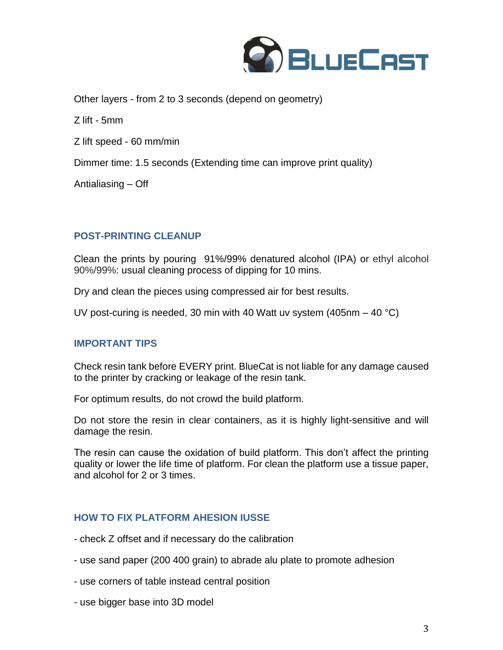

Other layers - from 2 to 3 seconds (depend on geometry)

Z lift - 5mm

Z lift speed - 60 mm/min

Dimmer time: 1.5 seconds (Extending time can improve print quality)

Antialiasing – Off

## **POST-PRINTING CLEANUP**

Clean the prints by pouring 91%/99% denatured alcohol (IPA) or ethyl alcohol 90%/99%: usual cleaning process of dipping for 10 mins.

Dry and clean the pieces using compressed air for best results.

UV post-curing is needed, 30 min with 40 Watt uv system (405nm – 40 °C)

#### **IMPORTANT TIPS**

Check resin tank before EVERY print. BlueCat is not liable for any damage caused to the printer by cracking or leakage of the resin tank.

For optimum results, do not crowd the build platform.

Do not store the resin in clear containers, as it is highly light-sensitive and will damage the resin.

The resin can cause the oxidation of build platform. This don't affect the printing quality or lower the life time of platform. For clean the platform use a tissue paper, and alcohol for 2 or 3 times.

## **HOW TO FIX PLATFORM AHESION IUSSE**

- check Z offset and if necessary do the calibration
- use sand paper (200 400 grain) to abrade alu plate to promote adhesion
- use corners of table instead central position
- use bigger base into 3D model